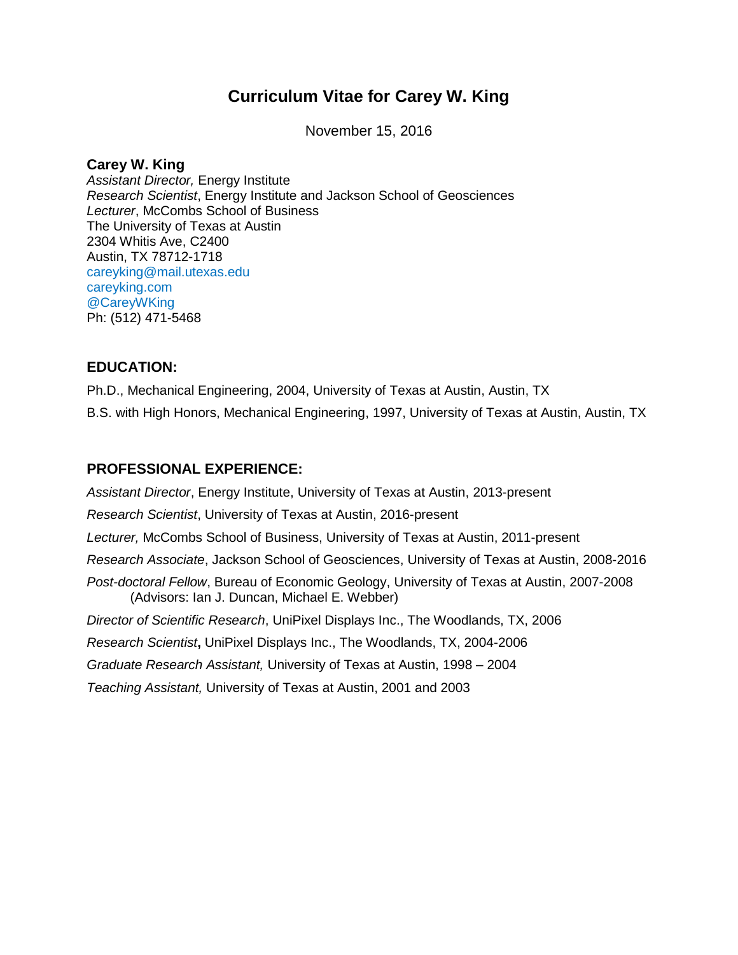# **Curriculum Vitae for Carey W. King**

November 15, 2016

# **Carey W. King**

*Assistant Director,* Energy Institute *Research Scientist*, Energy Institute and Jackson School of Geosciences *Lecturer*, McCombs School of Business The University of Texas at Austin 2304 Whitis Ave, C2400 Austin, TX 78712-1718 careyking@mail.utexas.edu careyking.com @CareyWKing Ph: (512) 471-5468

# **EDUCATION:**

Ph.D., Mechanical Engineering, 2004, University of Texas at Austin, Austin, TX B.S. with High Honors, Mechanical Engineering, 1997, University of Texas at Austin, Austin, TX

# **PROFESSIONAL EXPERIENCE:**

*Assistant Director*, Energy Institute, University of Texas at Austin, 2013-present *Research Scientist*, University of Texas at Austin, 2016-present *Lecturer,* McCombs School of Business, University of Texas at Austin, 2011-present *Research Associate*, Jackson School of Geosciences, University of Texas at Austin, 2008-2016 *Post-doctoral Fellow*, Bureau of Economic Geology, University of Texas at Austin, 2007-2008 (Advisors: Ian J. Duncan, Michael E. Webber) *Director of Scientific Research*, UniPixel Displays Inc., The Woodlands, TX, 2006 *Research Scientist***,** UniPixel Displays Inc., The Woodlands, TX, 2004-2006 *Graduate Research Assistant,* University of Texas at Austin, 1998 – 2004 *Teaching Assistant,* University of Texas at Austin, 2001 and 2003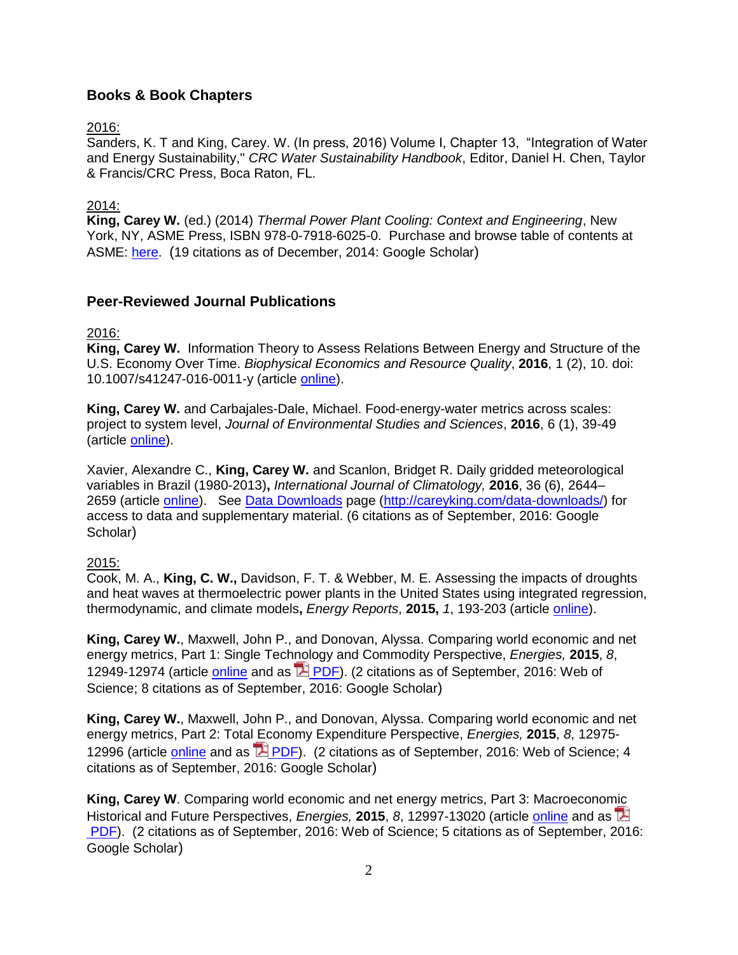# **Books & Book Chapters**

### 2016:

Sanders, K. T and King, Carey. W. (In press, 2016) Volume I, Chapter 13, "Integration of Water and Energy Sustainability," *CRC Water Sustainability Handbook*, Editor, Daniel H. Chen, Taylor & Francis/CRC Press, Boca Raton, FL.

### 2014:

**King, Carey W.** (ed.) (2014) *Thermal Power Plant Cooling: Context and Engineering*, New York, NY, ASME Press, ISBN 978-0-7918-6025-0. Purchase and browse table of contents at ASME: [here.](https://www.asme.org/products/books/thermal-power-plant-cooling-context) (19 citations as of December, 2014: Google Scholar)

### **Peer-Reviewed Journal Publications**

2016:

**King, Carey W.** Information Theory to Assess Relations Between Energy and Structure of the U.S. Economy Over Time. *Biophysical Economics and Resource Quality*, **2016**, 1 (2), 10. doi: 10.1007/s41247-016-0011-y (article [online\)](http://rdcu.be/mei1).

**King, Carey W.** and Carbajales-Dale, Michael. Food-energy-water metrics across scales: project to system level, *Journal of Environmental Studies and Sciences*, **2016**, 6 (1), 39-49 (article [online\)](http://link.springer.com/article/10.1007/s13412-016-0390-9).

Xavier, Alexandre C., **King, Carey W.** and Scanlon, Bridget R. Daily gridded meteorological variables in Brazil (1980-2013)**,** *International Journal of Climatology,* **2016**, 36 (6), 2644– 2659 (article [online\)](http://onlinelibrary.wiley.com/doi/10.1002/joc.4518/abstract). See Data [Downloads](http://careyking.com/data-downloads/) page [\(http://careyking.com/data-downloads/\)](http://careyking.com/data-downloads/) for access to data and supplementary material. (6 citations as of September, 2016: Google Scholar)

### 2015:

Cook, M. A., **King, C. W.,** Davidson, F. T. & Webber, M. E. Assessing the impacts of droughts and heat waves at thermoelectric power plants in the United States using integrated regression, thermodynamic, and climate models**,** *Energy Reports*, **2015,** *1*, 193-203 (article [online\)](http://www.sciencedirect.com/science/article/pii/S2352484715000323).

**King, Carey W.**, Maxwell, John P., and Donovan, Alyssa. Comparing world economic and net energy metrics, Part 1: Single Technology and Commodity Perspective, *Energies,* **2015**, *8*, 12949-12974 (article [online](http://www.mdpi.com/1996-1073/8/11/12346/) and as **PA [PDF\)](http://www.mdpi.com/1996-1073/8/11/12346/pdf)**. (2 citations as of September, 2016: Web of Science; 8 citations as of September, 2016: Google Scholar)

**King, Carey W.**, Maxwell, John P., and Donovan, Alyssa. Comparing world economic and net energy metrics, Part 2: Total Economy Expenditure Perspective, *Energies,* **2015**, *8*, 12975 12996 (article [online](http://www.mdpi.com/1996-1073/8/11/12347/) and as  $\overline{2}$  [PDF\)](http://www.mdpi.com/1996-1073/8/11/12347/pdf). (2 citations as of September, 2016: Web of Science; 4 citations as of September, 2016: Google Scholar)

**King, Carey W**. Comparing world economic and net energy metrics, Part 3: Macroeconomic Historical and Future Perspectives, *Energies,* **2015**, *8*, 12997-13020 (article [online](http://www.mdpi.com/1996-1073/8/11/12348/) and as [PDF\)](http://www.mdpi.com/1996-1073/8/11/12348/pdf). (2 citations as of September, 2016: Web of Science; 5 citations as of September, 2016: Google Scholar)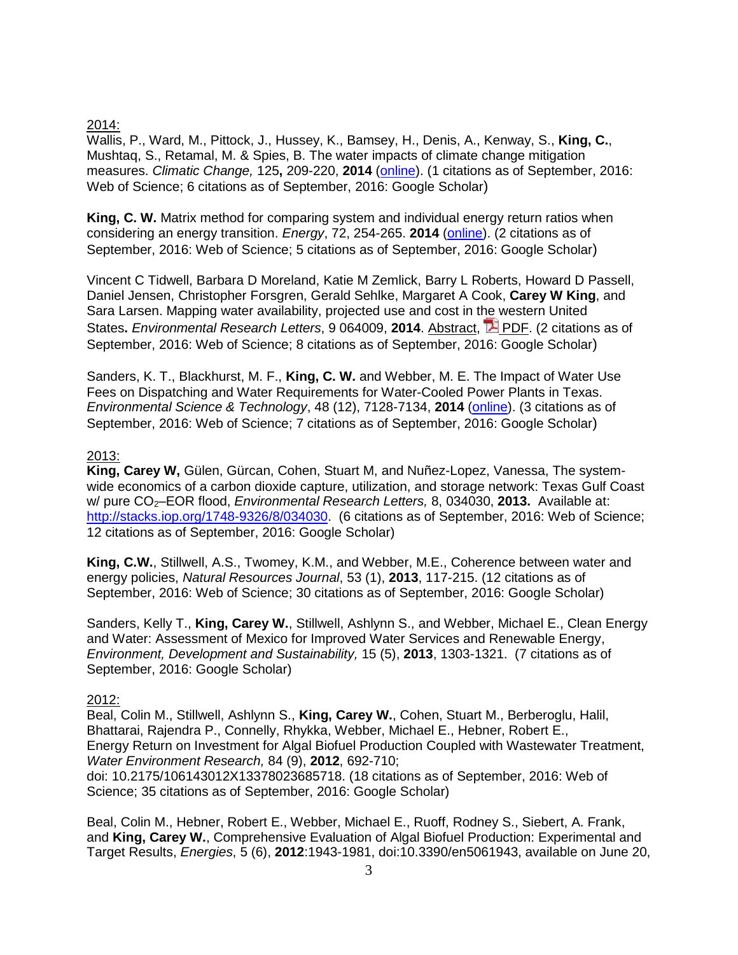#### 2014:

Wallis, P., Ward, M., Pittock, J., Hussey, K., Bamsey, H., Denis, A., Kenway, S., **King, C.**, Mushtaq, S., Retamal, M. & Spies, B. The water impacts of climate change mitigation measures. *Climatic Change,* 125**,** 209-220, **2014** [\(online\)](http://link.springer.com/article/10.1007/s10584-014-1156-6). (1 citations as of September, 2016: Web of Science; 6 citations as of September, 2016: Google Scholar)

**King, C. W.** Matrix method for comparing system and individual energy return ratios when considering an energy transition. *Energy*, 72, 254-265. **2014** [\(online\)](http://www.sciencedirect.com/science/article/pii/S0360544214005817). (2 citations as of September, 2016: Web of Science; 5 citations as of September, 2016: Google Scholar)

Vincent C Tidwell, Barbara D Moreland, Katie M Zemlick, Barry L Roberts, Howard D Passell, Daniel Jensen, Christopher Forsgren, Gerald Sehlke, Margaret A Cook, **Carey W King**, and Sara Larsen. Mapping water availability, projected use and cost in the western United States**.** *Environmental Research Letters*, 9 064009, **2014**. [Abstract,](http://iopscience.iop.org/1748-9326/9/6/064009) [PDF.](http://iopscience.iop.org/1748-9326/9/6/064009/pdf/1748-9326_9_6_064009.pdf) (2 citations as of September, 2016: Web of Science; 8 citations as of September, 2016: Google Scholar)

Sanders, K. T., Blackhurst, M. F., **King, C. W.** and Webber, M. E. The Impact of Water Use Fees on Dispatching and Water Requirements for Water-Cooled Power Plants in Texas. *Environmental Science & Technology*, 48 (12), 7128-7134, **2014** [\(online\)](http://pubs.acs.org/doi/abs/10.1021/es500469q). (3 citations as of September, 2016: Web of Science; 7 citations as of September, 2016: Google Scholar)

#### 2013:

**King, Carey W,** Gülen, Gürcan, Cohen, Stuart M, and Nuñez-Lopez, Vanessa, The systemwide economics of a carbon dioxide capture, utilization, and storage network: Texas Gulf Coast w/ pure CO<sub>2</sub>–EOR flood, *Environmental Research Letters*, 8, 034030, 2013. Available at: http://stacks.iop.org/1748-9326/8/034030 (6 citations as of September, 2016: Web of Science; 12 citations as of September, 2016: Google Scholar)

**King, C.W.**, Stillwell, A.S., Twomey, K.M., and Webber, M.E., Coherence between water and energy policies, *Natural Resources Journal*, 53 (1), **2013**, 117-215. (12 citations as of September, 2016: Web of Science; 30 citations as of September, 2016: Google Scholar)

Sanders, Kelly T., **King, Carey W.**, Stillwell, Ashlynn S., and Webber, Michael E., Clean Energy and Water: Assessment of Mexico for Improved Water Services and Renewable Energy, *Environment, Development and Sustainability,* 15 (5), **2013**, 1303-1321. (7 citations as of September, 2016: Google Scholar)

#### 2012:

Beal, Colin M., Stillwell, Ashlynn S., **King, Carey W.**, Cohen, Stuart M., Berberoglu, Halil, Bhattarai, Rajendra P., Connelly, Rhykka, Webber, Michael E., Hebner, Robert E., Energy Return on Investment for Algal Biofuel Production Coupled with Wastewater Treatment, *Water Environment Research,* 84 (9), **2012**, 692-710;

doi: 10.2175/106143012X13378023685718. (18 citations as of September, 2016: Web of Science; 35 citations as of September, 2016: Google Scholar)

Beal, Colin M., Hebner, Robert E., Webber, Michael E., Ruoff, Rodney S., Siebert, A. Frank, and **King, Carey W.**, Comprehensive Evaluation of Algal Biofuel Production: Experimental and Target Results, *Energies*, 5 (6), **2012**:1943-1981, doi:10.3390/en5061943, available on June 20,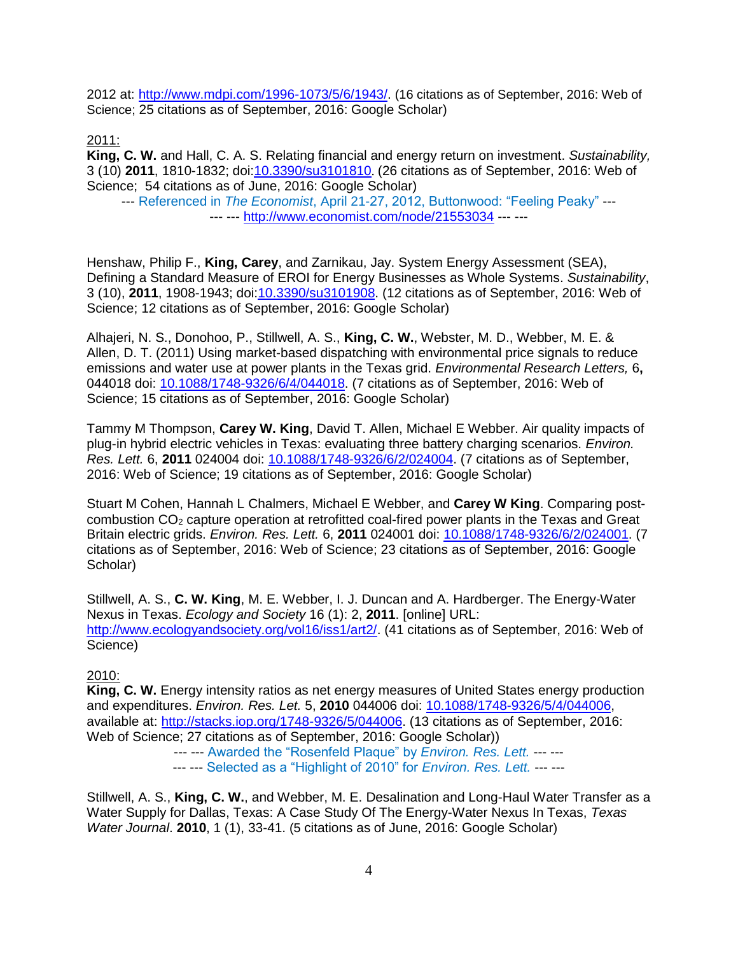2012 at: [http://www.mdpi.com/1996-1073/5/6/1943/.](http://www.mdpi.com/1996-1073/5/6/1943/) (16 citations as of September, 2016: Web of Science; 25 citations as of September, 2016: Google Scholar)

2011:

**King, C. W.** and Hall, C. A. S. Relating financial and energy return on investment. *Sustainability,* 3 (10) **2011**, 1810-1832; doi[:10.3390/su3101810](http://dx.doi.org/10.3390/su3101810). (26 citations as of September, 2016: Web of Science; 54 citations as of June, 2016: Google Scholar)

--- Referenced in *The Economist*, April 21-27, 2012, Buttonwood: "Feeling Peaky" --- --- --- <http://www.economist.com/node/21553034> --- ---

Henshaw, Philip F., **King, Carey**, and Zarnikau, Jay. System Energy Assessment (SEA), Defining a Standard Measure of EROI for Energy Businesses as Whole Systems. *Sustainability*, 3 (10), **2011**, 1908-1943; doi[:10.3390/su3101908.](http://dx.doi.org/10.3390/su3101908) (12 citations as of September, 2016: Web of Science: 12 citations as of September, 2016: Google Scholar)

Alhajeri, N. S., Donohoo, P., Stillwell, A. S., **King, C. W.**, Webster, M. D., Webber, M. E. & Allen, D. T. (2011) Using market-based dispatching with environmental price signals to reduce emissions and water use at power plants in the Texas grid. *Environmental Research Letters,* 6**,** 044018 doi: [10.1088/1748-9326/6/4/044018.](http://dx.doi.org/10.1088/1748-9326/6/4/044018) (7 citations as of September, 2016: Web of Science; 15 citations as of September, 2016: Google Scholar)

Tammy M Thompson, **Carey W. King**, David T. Allen, Michael E Webber. Air quality impacts of plug-in hybrid electric vehicles in Texas: evaluating three battery charging scenarios. *Environ. Res. Lett.* 6, **2011** 024004 doi: [10.1088/1748-9326/6/2/024004.](http://dx.doi.org/10.1088/1748-9326/6/2/024004) (7 citations as of September, 2016: Web of Science; 19 citations as of September, 2016: Google Scholar)

Stuart M Cohen, Hannah L Chalmers, Michael E Webber, and **Carey W King**. Comparing postcombustion CO<sub>2</sub> capture operation at retrofitted coal-fired power plants in the Texas and Great Britain electric grids. *Environ. Res. Lett.* 6, **2011** 024001 doi: [10.1088/1748-9326/6/2/024001.](http://dx.doi.org/10.1088/1748-9326/6/2/024001) (7 citations as of September, 2016: Web of Science; 23 citations as of September, 2016: Google Scholar)

Stillwell, A. S., **C. W. King**, M. E. Webber, I. J. Duncan and A. Hardberger. The Energy-Water Nexus in Texas. *Ecology and Society* 16 (1): 2, **2011**. [online] URL: [http://www.ecologyandsociety.org/vol16/iss1/art2/.](http://www.ecologyandsociety.org/vol16/iss1/art2/) (41 citations as of September, 2016: Web of Science)

#### 2010:

**King, C. W.** Energy intensity ratios as net energy measures of United States energy production and expenditures. *Environ. Res. Let.* 5, **2010** 044006 doi: [10.1088/1748-9326/5/4/044006,](http://dx.doi.org/10.1088/1748-9326/5/4/044006) available at: [http://stacks.iop.org/1748-9326/5/044006.](http://stacks.iop.org/1748-9326/5/044006) (13 citations as of September, 2016: Web of Science; 27 citations as of September, 2016: Google Scholar))

--- --- Awarded the "Rosenfeld Plaque" by *Environ. Res. Lett.* --- ---

--- --- Selected as a "Highlight of 2010" for *Environ. Res. Lett.* --- ---

Stillwell, A. S., **King, C. W.**, and Webber, M. E. Desalination and Long-Haul Water Transfer as a Water Supply for Dallas, Texas: A Case Study Of The Energy-Water Nexus In Texas, *Texas Water Journal*. **2010**, 1 (1), 33-41. (5 citations as of June, 2016: Google Scholar)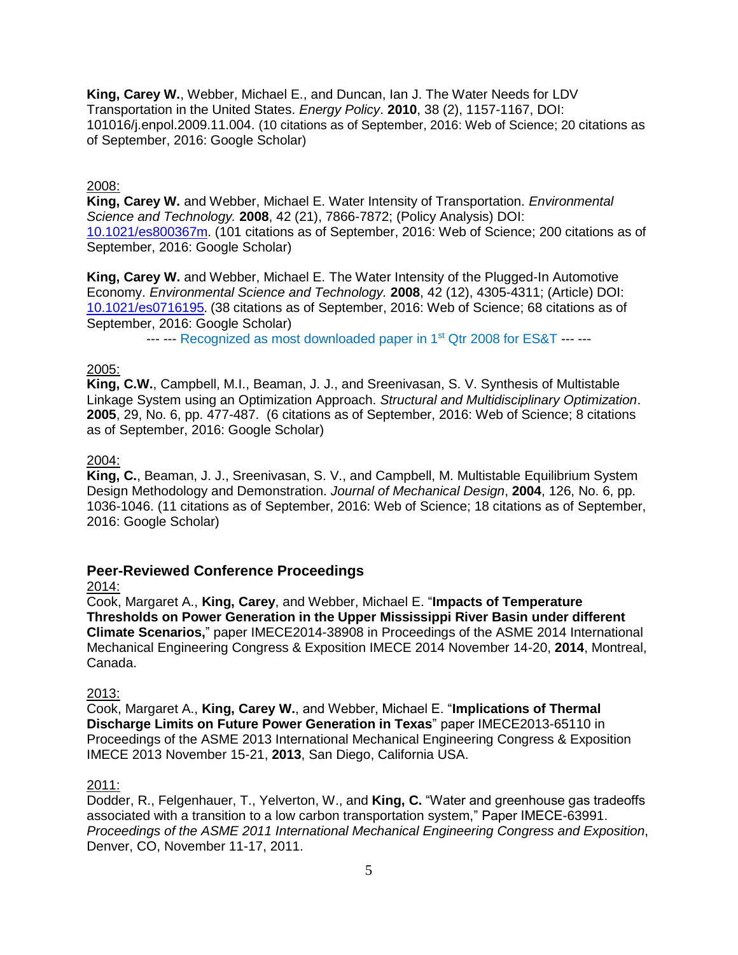**King, Carey W.**, Webber, Michael E., and Duncan, Ian J. The Water Needs for LDV Transportation in the United States. *Energy Policy*. **2010**, 38 (2), 1157-1167, DOI: 101016/j.enpol.2009.11.004. (10 citations as of September, 2016: Web of Science; 20 citations as of September, 2016: Google Scholar)

#### 2008:

**King, Carey W.** and Webber, Michael E. Water Intensity of Transportation. *Environmental Science and Technology.* **2008**, 42 (21), 7866-7872; (Policy Analysis) DOI: [10.1021/es800367m.](http://dx.doi.org/10.1021%2Fes800367m) (101 citations as of September, 2016: Web of Science; 200 citations as of September, 2016: Google Scholar)

**King, Carey W.** and Webber, Michael E. The Water Intensity of the Plugged-In Automotive Economy. *Environmental Science and Technology.* **2008**, 42 (12), 4305-4311; (Article) DOI: [10.1021/es0716195](http://dx.doi.org/10.1021%2Fes0716195). (38 citations as of September, 2016: Web of Science; 68 citations as of September, 2016: Google Scholar)

--- --- Recognized as most downloaded paper in 1<sup>st</sup> Qtr 2008 for ES&T --- ---

### 2005:

**King, C.W.**, Campbell, M.I., Beaman, J. J., and Sreenivasan, S. V. Synthesis of Multistable Linkage System using an Optimization Approach. *Structural and Multidisciplinary Optimization*. **2005**, 29, No. 6, pp. 477-487. (6 citations as of September, 2016: Web of Science; 8 citations as of September, 2016: Google Scholar)

#### 2004:

**King, C.**, Beaman, J. J., Sreenivasan, S. V., and Campbell, M. Multistable Equilibrium System Design Methodology and Demonstration. *Journal of Mechanical Design*, **2004**, 126, No. 6, pp. 1036-1046. (11 citations as of September, 2016: Web of Science; 18 citations as of September, 2016: Google Scholar)

# **Peer-Reviewed Conference Proceedings**

#### 2014:

Cook, Margaret A., **King, Carey**, and Webber, Michael E. "**Impacts of Temperature Thresholds on Power Generation in the Upper Mississippi River Basin under different Climate Scenarios,**" paper IMECE2014-38908 in Proceedings of the ASME 2014 International Mechanical Engineering Congress & Exposition IMECE 2014 November 14-20, **2014**, Montreal, Canada.

#### 2013:

Cook, Margaret A., **King, Carey W.**, and Webber, Michael E. "**Implications of Thermal Discharge Limits on Future Power Generation in Texas**" paper IMECE2013-65110 in Proceedings of the ASME 2013 International Mechanical Engineering Congress & Exposition IMECE 2013 November 15-21, **2013**, San Diego, California USA.

#### 2011:

Dodder, R., Felgenhauer, T., Yelverton, W., and **King, C.** "Water and greenhouse gas tradeoffs associated with a transition to a low carbon transportation system," Paper IMECE-63991. *Proceedings of the ASME 2011 International Mechanical Engineering Congress and Exposition*, Denver, CO, November 11-17, 2011.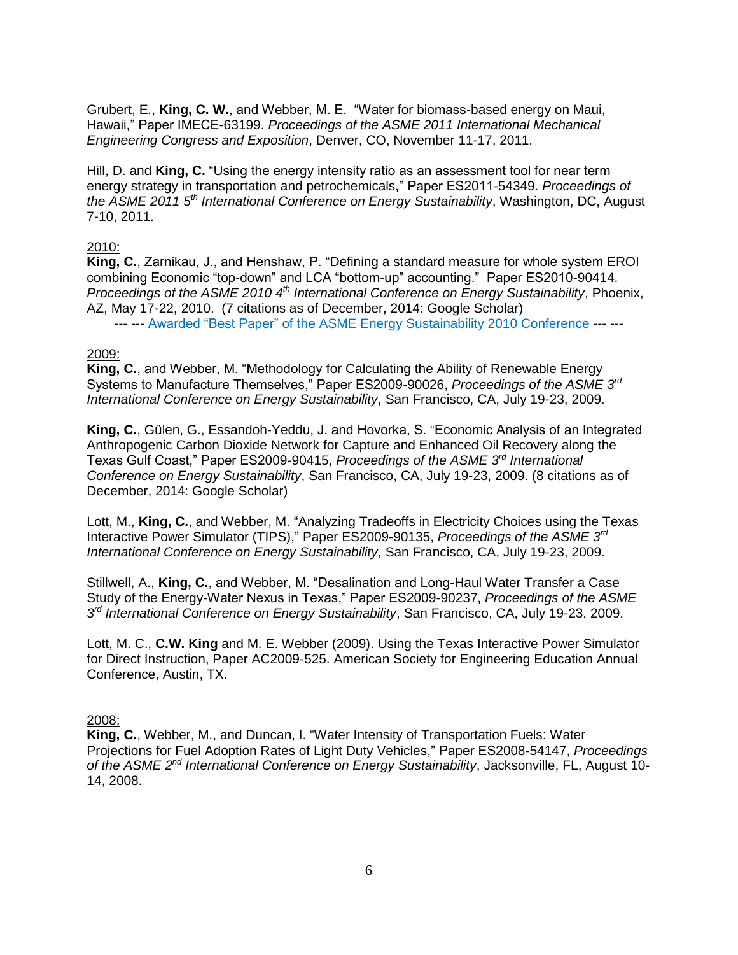Grubert, E., **King, C. W.**, and Webber, M. E. "Water for biomass-based energy on Maui, Hawaii," Paper IMECE-63199. *Proceedings of the ASME 2011 International Mechanical Engineering Congress and Exposition*, Denver, CO, November 11-17, 2011.

Hill, D. and **King, C.** "Using the energy intensity ratio as an assessment tool for near term energy strategy in transportation and petrochemicals," Paper ES2011-54349. *Proceedings of the ASME 2011 5th International Conference on Energy Sustainability*, Washington, DC, August 7-10, 2011.

#### 2010:

**King, C.**, Zarnikau, J., and Henshaw, P. "Defining a standard measure for whole system EROI combining Economic "top-down" and LCA "bottom-up" accounting." Paper ES2010-90414. *Proceedings of the ASME 2010 4th International Conference on Energy Sustainability*, Phoenix, AZ, May 17-22, 2010. (7 citations as of December, 2014: Google Scholar) --- --- Awarded "Best Paper" of the ASME Energy Sustainability 2010 Conference --- ---

#### 2009:

**King, C.**, and Webber, M. "Methodology for Calculating the Ability of Renewable Energy Systems to Manufacture Themselves," Paper ES2009-90026, *Proceedings of the ASME 3rd International Conference on Energy Sustainability*, San Francisco, CA, July 19-23, 2009.

**King, C.**, Gülen, G., Essandoh-Yeddu, J. and Hovorka, S. "Economic Analysis of an Integrated Anthropogenic Carbon Dioxide Network for Capture and Enhanced Oil Recovery along the Texas Gulf Coast," Paper ES2009-90415, *Proceedings of the ASME 3rd International Conference on Energy Sustainability*, San Francisco, CA, July 19-23, 2009. (8 citations as of December, 2014: Google Scholar)

Lott, M., **King, C.**, and Webber, M. "Analyzing Tradeoffs in Electricity Choices using the Texas Interactive Power Simulator (TIPS)," Paper ES2009-90135, *Proceedings of the ASME 3rd International Conference on Energy Sustainability*, San Francisco, CA, July 19-23, 2009.

Stillwell, A., **King, C.**, and Webber, M. "Desalination and Long-Haul Water Transfer a Case Study of the Energy-Water Nexus in Texas," Paper ES2009-90237, *Proceedings of the ASME 3 rd International Conference on Energy Sustainability*, San Francisco, CA, July 19-23, 2009.

Lott, M. C., **C.W. King** and M. E. Webber (2009). Using the Texas Interactive Power Simulator for Direct Instruction, Paper AC2009-525. American Society for Engineering Education Annual Conference, Austin, TX.

### 2008:

**King, C.**, Webber, M., and Duncan, I. "Water Intensity of Transportation Fuels: Water Projections for Fuel Adoption Rates of Light Duty Vehicles," Paper ES2008-54147, *Proceedings*  of the ASME 2<sup>nd</sup> International Conference on Energy Sustainability, Jacksonville, FL, August 10-14, 2008.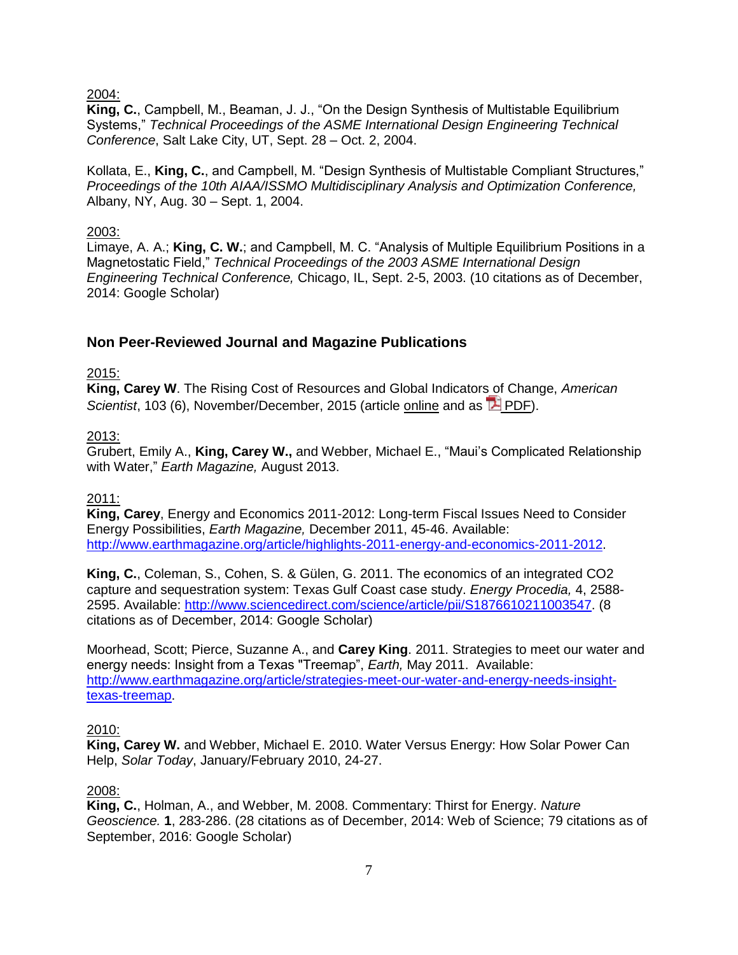2004:

**King, C.**, Campbell, M., Beaman, J. J., "On the Design Synthesis of Multistable Equilibrium Systems," *Technical Proceedings of the ASME International Design Engineering Technical Conference*, Salt Lake City, UT, Sept. 28 – Oct. 2, 2004.

Kollata, E., **King, C.**, and Campbell, M. "Design Synthesis of Multistable Compliant Structures," *Proceedings of the 10th AIAA/ISSMO Multidisciplinary Analysis and Optimization Conference,*  Albany, NY, Aug. 30 – Sept. 1, 2004.

### 2003:

Limaye, A. A.; **King, C. W.**; and Campbell, M. C. "Analysis of Multiple Equilibrium Positions in a Magnetostatic Field," *Technical Proceedings of the 2003 ASME International Design Engineering Technical Conference,* Chicago, IL, Sept. 2-5, 2003. (10 citations as of December, 2014: Google Scholar)

# **Non Peer-Reviewed Journal and Magazine Publications**

### 2015:

**King, Carey W**. The Rising Cost of Resources and Global Indicators of Change, *American Scientist*, 103 (6), November/December, 2015 (article [online](http://www.americanscientist.org/issues/feature/2015/6/the-rising-cost-of-resources-and-global-indicators-of-change) and as **P** [PDF\)](http://careyking.com/wp-content/uploads/2015/10/King-2015-RisingCostofResources_AmericanScientist.pdf).

### 2013:

Grubert, Emily A., **King, Carey W.,** and Webber, Michael E., "Maui's Complicated Relationship with Water," *Earth Magazine,* August 2013.

#### 2011:

**King, Carey**, Energy and Economics 2011-2012: Long-term Fiscal Issues Need to Consider Energy Possibilities, *Earth Magazine,* December 2011, 45-46. Available: [http://www.earthmagazine.org/article/highlights-2011-energy-and-economics-2011-2012.](http://www.earthmagazine.org/article/highlights-2011-energy-and-economics-2011-2012)

**King, C.**, Coleman, S., Cohen, S. & Gülen, G. 2011. The economics of an integrated CO2 capture and sequestration system: Texas Gulf Coast case study. *Energy Procedia,* 4, 2588- 2595. Available: [http://www.sciencedirect.com/science/article/pii/S1876610211003547.](http://www.sciencedirect.com/science/article/pii/S1876610211003547) (8 citations as of December, 2014: Google Scholar)

Moorhead, Scott; Pierce, Suzanne A., and **Carey King**. 2011. Strategies to meet our water and energy needs: Insight from a Texas "Treemap", *Earth,* May 2011. Available: [http://www.earthmagazine.org/article/strategies-meet-our-water-and-energy-needs-insight](http://www.earthmagazine.org/article/strategies-meet-our-water-and-energy-needs-insight-texas-treemap)[texas-treemap.](http://www.earthmagazine.org/article/strategies-meet-our-water-and-energy-needs-insight-texas-treemap)

#### 2010:

**King, Carey W.** and Webber, Michael E. 2010. Water Versus Energy: How Solar Power Can Help, *Solar Today*, January/February 2010, 24-27.

#### 2008:

**King, C.**, Holman, A., and Webber, M. 2008. Commentary: Thirst for Energy. *Nature Geoscience.* **1**, 283-286. (28 citations as of December, 2014: Web of Science; 79 citations as of September, 2016: Google Scholar)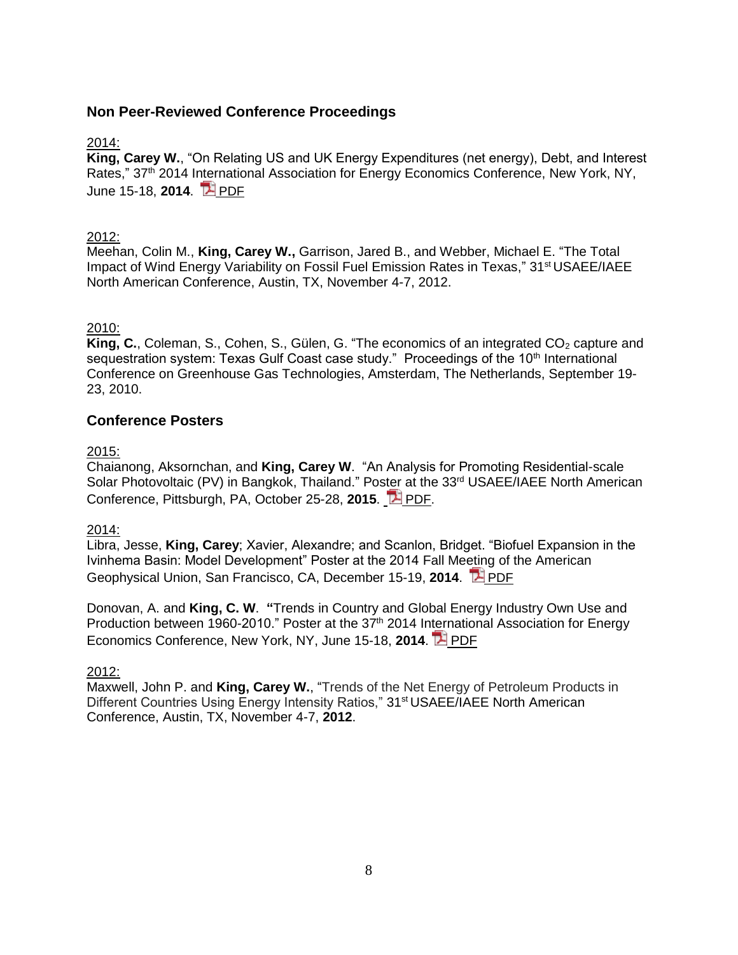# **Non Peer-Reviewed Conference Proceedings**

### 2014:

**King, Carey W.**, "On Relating US and UK Energy Expenditures (net energy), Debt, and Interest Rates," 37<sup>th</sup> 2014 International Association for Energy Economics Conference, New York, NY, June 15-18, **2014**. [PDF](http://careyking.com/wp-content/uploads/2014/12/King-2014-USAEE_NetEnergyDebt.pdf)

### 2012:

Meehan, Colin M., **King, Carey W.,** Garrison, Jared B., and Webber, Michael E. "The Total Impact of Wind Energy Variability on Fossil Fuel Emission Rates in Texas," 31<sup>st</sup> USAEE/IAEE North American Conference, Austin, TX, November 4-7, 2012.

### 2010:

King, C., Coleman, S., Cohen, S., Gülen, G. "The economics of an integrated CO<sub>2</sub> capture and sequestration system: Texas Gulf Coast case study." Proceedings of the 10<sup>th</sup> International Conference on Greenhouse Gas Technologies, Amsterdam, The Netherlands, September 19- 23, 2010.

### **Conference Posters**

2015:

Chaianong, Aksornchan, and **King, Carey W**. "An Analysis for Promoting Residential-scale Solar Photovoltaic (PV) in Bangkok, Thailand." Poster at the 33<sup>rd</sup> USAEE/IAEE North American Conference, Pittsburgh, PA, October 25-28, **2015**. **[PDF.](http://careyking.com/wp-content/uploads/2015/11/Chaianong_King_USAEE-2015_Poster.pdf)** 

2014:

Libra, Jesse, **King, Carey**; Xavier, Alexandre; and Scanlon, Bridget. "Biofuel Expansion in the Ivinhema Basin: Model Development" Poster at the 2014 Fall Meeting of the American Geophysical Union, San Francisco, CA, December 15-19, **2014**. [PDF](http://careyking.com/wp-content/uploads/2014/12/Libra-and-King-AGU2014-Poster-Brazil-Biofuels-Basin-Hydrology.pdf)

Donovan, A. and **King, C. W**. **"**Trends in Country and Global Energy Industry Own Use and Production between 1960-2010." Poster at the  $37<sup>th</sup>$  2014 International Association for Energy Economics Conference, New York, NY, June 15-18, **2014**. [PDF](http://careyking.com/wp-content/uploads/2014/07/DonovanKing_USAEE-2014-FINAL.pdf)

#### 2012:

Maxwell, John P. and **King, Carey W.**, "Trends of the Net Energy of Petroleum Products in Different Countries Using Energy Intensity Ratios," 31<sup>st</sup> USAEE/IAEE North American Conference, Austin, TX, November 4-7, **2012**.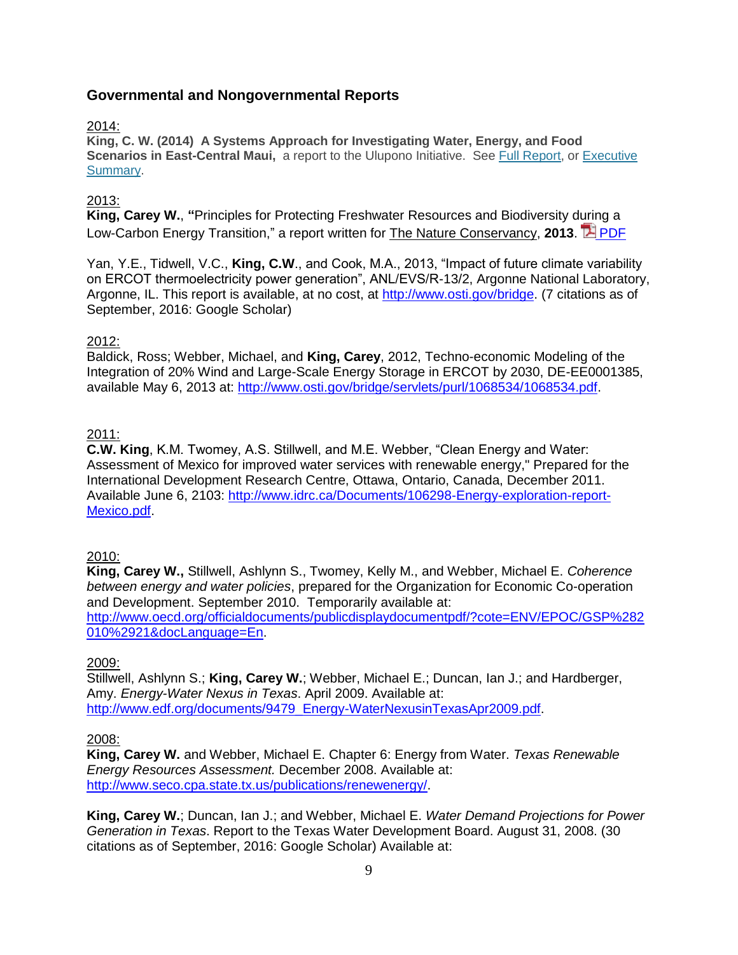# **Governmental and Nongovernmental Reports**

#### 2014:

**King, C. W. (2014) A Systems Approach for Investigating Water, Energy, and Food Scenarios in East-Central Maui,** a report to the Ulupono Initiative. See [Full Report,](http://careyking.com/wp-content/uploads/2014/11/Ulupono-MauiWaterEnergyScenarios-Final-Report-2014-FINAL.pdf) or [Executive](http://careyking.com/wp-content/uploads/2014/11/Ulupono-MauiWaterEnergyScenarios-Final-Report-2014-FINAL-ExecSumm.pdf)  [Summary.](http://careyking.com/wp-content/uploads/2014/11/Ulupono-MauiWaterEnergyScenarios-Final-Report-2014-FINAL-ExecSumm.pdf)

### 2013:

**King, Carey W.**, **"**Principles for Protecting Freshwater Resources and Biodiversity during a Low-Carbon Energy Transition," a report written for The Nature Conservancy. 2013. **PIP [PDF](http://careyking.com/wp-content/uploads/2014/02/King-2013-Impacts-to-Water-and-Biodiversity-from-Energy1.pdf)** 

Yan, Y.E., Tidwell, V.C., **King, C.W**., and Cook, M.A., 2013, "Impact of future climate variability on ERCOT thermoelectricity power generation", ANL/EVS/R-13/2, Argonne National Laboratory, Argonne, IL. This report is available, at no cost, at [http://www.osti.gov/bridge.](http://www.osti.gov/bridge) (7 citations as of September, 2016: Google Scholar)

### 2012:

Baldick, Ross; Webber, Michael, and **King, Carey**, 2012, Techno-economic Modeling of the Integration of 20% Wind and Large-Scale Energy Storage in ERCOT by 2030, DE-EE0001385, available May 6, 2013 at: [http://www.osti.gov/bridge/servlets/purl/1068534/1068534.pdf.](http://www.osti.gov/bridge/servlets/purl/1068534/1068534.pdf)

### 2011:

**C.W. King**, K.M. Twomey, A.S. Stillwell, and M.E. Webber, "Clean Energy and Water: Assessment of Mexico for improved water services with renewable energy," Prepared for the International Development Research Centre, Ottawa, Ontario, Canada, December 2011. Available June 6, 2103: [http://www.idrc.ca/Documents/106298-Energy-exploration-report-](http://www.idrc.ca/Documents/106298-Energy-exploration-report-Mexico.pdf)[Mexico.pdf.](http://www.idrc.ca/Documents/106298-Energy-exploration-report-Mexico.pdf)

### 2010:

**King, Carey W.,** Stillwell, Ashlynn S., Twomey, Kelly M., and Webber, Michael E. *Coherence between energy and water policies*, prepared for the Organization for Economic Co-operation and Development. September 2010. Temporarily available at: [http://www.oecd.org/officialdocuments/publicdisplaydocumentpdf/?cote=ENV/EPOC/GSP%282](http://www.oecd.org/officialdocuments/publicdisplaydocumentpdf/?cote=ENV/EPOC/GSP%282010%2921&docLanguage=En) [010%2921&docLanguage=En.](http://www.oecd.org/officialdocuments/publicdisplaydocumentpdf/?cote=ENV/EPOC/GSP%282010%2921&docLanguage=En)

#### 2009:

Stillwell, Ashlynn S.; **King, Carey W.**; Webber, Michael E.; Duncan, Ian J.; and Hardberger, Amy. *Energy-Water Nexus in Texas*. April 2009. Available at: [http://www.edf.org/documents/9479\\_Energy-WaterNexusinTexasApr2009.pdf.](http://www.edf.org/documents/9479_Energy-WaterNexusinTexasApr2009.pdf)

#### 2008:

**King, Carey W.** and Webber, Michael E. Chapter 6: Energy from Water. *Texas Renewable Energy Resources Assessment.* December 2008. Available at: [http://www.seco.cpa.state.tx.us/publications/renewenergy/.](http://www.seco.cpa.state.tx.us/publications/renewenergy/)

**King, Carey W.**; Duncan, Ian J.; and Webber, Michael E. *Water Demand Projections for Power Generation in Texas*. Report to the Texas Water Development Board. August 31, 2008. (30 citations as of September, 2016: Google Scholar) Available at: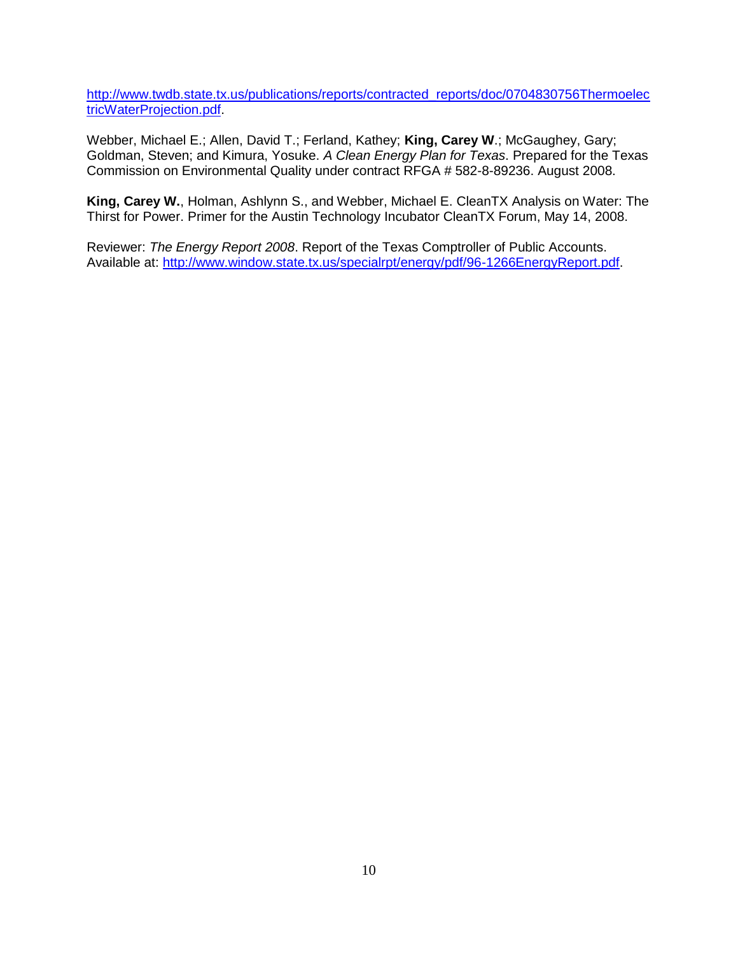[http://www.twdb.state.tx.us/publications/reports/contracted\\_reports/doc/0704830756Thermoelec](http://www.twdb.state.tx.us/publications/reports/contracted_reports/doc/0704830756ThermoelectricWaterProjection.pdf) [tricWaterProjection.pdf.](http://www.twdb.state.tx.us/publications/reports/contracted_reports/doc/0704830756ThermoelectricWaterProjection.pdf)

Webber, Michael E.; Allen, David T.; Ferland, Kathey; **King, Carey W**.; McGaughey, Gary; Goldman, Steven; and Kimura, Yosuke. *A Clean Energy Plan for Texas*. Prepared for the Texas Commission on Environmental Quality under contract RFGA # 582-8-89236. August 2008.

**King, Carey W.**, Holman, Ashlynn S., and Webber, Michael E. CleanTX Analysis on Water: The Thirst for Power. Primer for the Austin Technology Incubator CleanTX Forum, May 14, 2008.

Reviewer: *The Energy Report 2008*. Report of the Texas Comptroller of Public Accounts. Available at: [http://www.window.state.tx.us/specialrpt/energy/pdf/96-1266EnergyReport.pdf.](http://www.window.state.tx.us/specialrpt/energy/pdf/96-1266EnergyReport.pdf)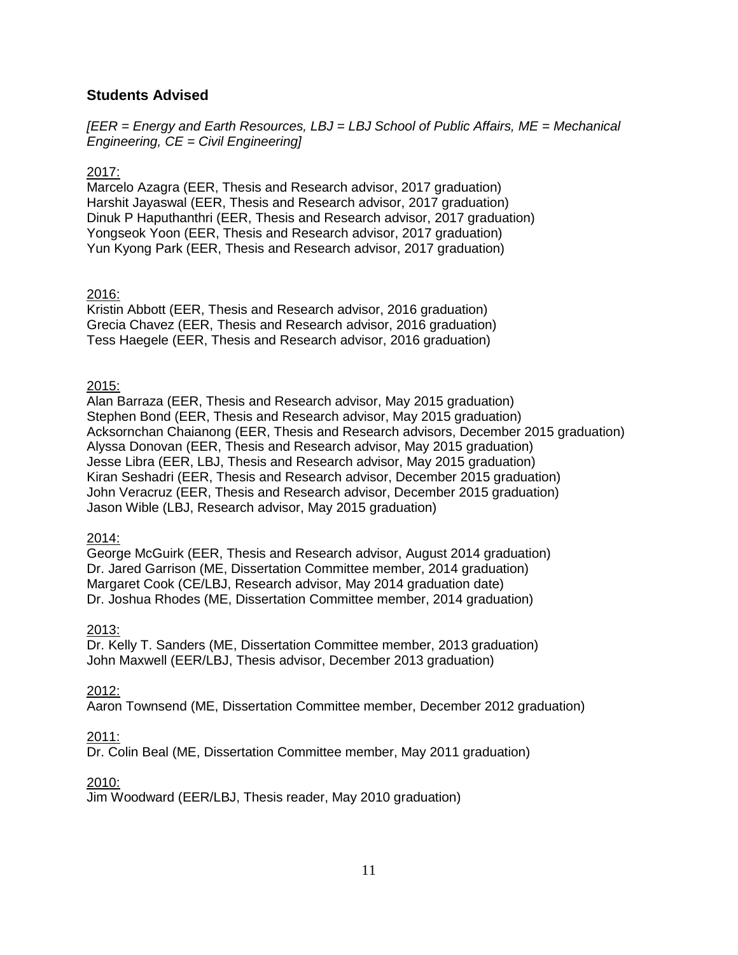# **Students Advised**

*[EER = Energy and Earth Resources, LBJ = LBJ School of Public Affairs, ME = Mechanical Engineering, CE = Civil Engineering]*

### 2017:

Marcelo Azagra (EER, Thesis and Research advisor, 2017 graduation) Harshit Jayaswal (EER, Thesis and Research advisor, 2017 graduation) Dinuk P Haputhanthri (EER, Thesis and Research advisor, 2017 graduation) Yongseok Yoon (EER, Thesis and Research advisor, 2017 graduation) Yun Kyong Park (EER, Thesis and Research advisor, 2017 graduation)

# 2016:

Kristin Abbott (EER, Thesis and Research advisor, 2016 graduation) Grecia Chavez (EER, Thesis and Research advisor, 2016 graduation) Tess Haegele (EER, Thesis and Research advisor, 2016 graduation)

### 2015:

Alan Barraza (EER, Thesis and Research advisor, May 2015 graduation) Stephen Bond (EER, Thesis and Research advisor, May 2015 graduation) Acksornchan Chaianong (EER, Thesis and Research advisors, December 2015 graduation) Alyssa Donovan (EER, Thesis and Research advisor, May 2015 graduation) Jesse Libra (EER, LBJ, Thesis and Research advisor, May 2015 graduation) Kiran Seshadri (EER, Thesis and Research advisor, December 2015 graduation) John Veracruz (EER, Thesis and Research advisor, December 2015 graduation) Jason Wible (LBJ, Research advisor, May 2015 graduation)

#### 2014:

George McGuirk (EER, Thesis and Research advisor, August 2014 graduation) Dr. Jared Garrison (ME, Dissertation Committee member, 2014 graduation) Margaret Cook (CE/LBJ, Research advisor, May 2014 graduation date) Dr. Joshua Rhodes (ME, Dissertation Committee member, 2014 graduation)

### 2013:

Dr. Kelly T. Sanders (ME, Dissertation Committee member, 2013 graduation) John Maxwell (EER/LBJ, Thesis advisor, December 2013 graduation)

### 2012:

Aaron Townsend (ME, Dissertation Committee member, December 2012 graduation)

### 2011:

Dr. Colin Beal (ME, Dissertation Committee member, May 2011 graduation)

### 2010:

Jim Woodward (EER/LBJ, Thesis reader, May 2010 graduation)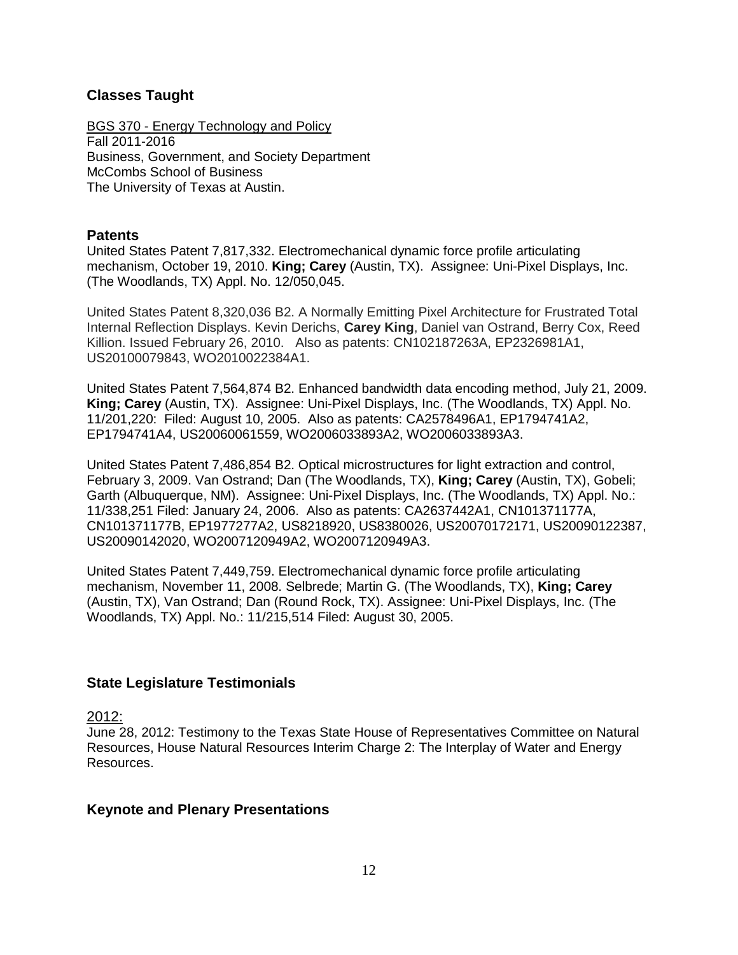# **Classes Taught**

BGS 370 - Energy Technology and Policy Fall 2011-2016 Business, Government, and Society Department McCombs School of Business The University of Texas at Austin.

### **Patents**

United States Patent 7,817,332. Electromechanical dynamic force profile articulating mechanism, October 19, 2010. **King; Carey** (Austin, TX). Assignee: Uni-Pixel Displays, Inc. (The Woodlands, TX) Appl. No. 12/050,045.

United States Patent 8,320,036 B2. A Normally Emitting Pixel Architecture for Frustrated Total Internal Reflection Displays. Kevin Derichs, **Carey King**, Daniel van Ostrand, Berry Cox, Reed Killion. Issued February 26, 2010. Also as patents: CN102187263A, EP2326981A1, US20100079843, WO2010022384A1.

United States Patent 7,564,874 B2. Enhanced bandwidth data encoding method, July 21, 2009. **King; Carey** (Austin, TX). Assignee: Uni-Pixel Displays, Inc. (The Woodlands, TX) Appl. No. 11/201,220: Filed: August 10, 2005. Also as patents: CA2578496A1, EP1794741A2, EP1794741A4, US20060061559, WO2006033893A2, WO2006033893A3.

United States Patent 7,486,854 B2. Optical microstructures for light extraction and control, February 3, 2009. Van Ostrand; Dan (The Woodlands, TX), **King; Carey** (Austin, TX), Gobeli; Garth (Albuquerque, NM). Assignee: Uni-Pixel Displays, Inc. (The Woodlands, TX) Appl. No.: 11/338,251 Filed: January 24, 2006. Also as patents: CA2637442A1, CN101371177A, CN101371177B, EP1977277A2, US8218920, US8380026, US20070172171, US20090122387, US20090142020, WO2007120949A2, WO2007120949A3.

United States Patent 7,449,759. Electromechanical dynamic force profile articulating mechanism, November 11, 2008. Selbrede; Martin G. (The Woodlands, TX), **King; Carey** (Austin, TX), Van Ostrand; Dan (Round Rock, TX). Assignee: Uni-Pixel Displays, Inc. (The Woodlands, TX) Appl. No.: 11/215,514 Filed: August 30, 2005.

### **State Legislature Testimonials**

2012:

June 28, 2012: Testimony to the Texas State House of Representatives Committee on Natural Resources, House Natural Resources Interim Charge 2: The Interplay of Water and Energy Resources.

### **Keynote and Plenary Presentations**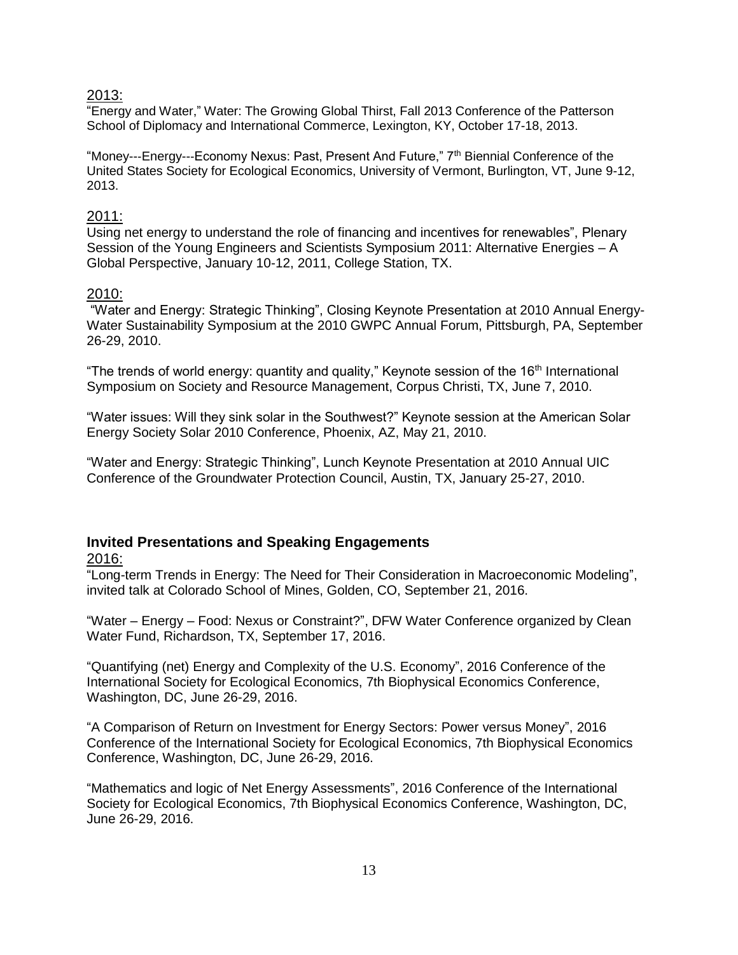#### 2013:

"Energy and Water," Water: The Growing Global Thirst, Fall 2013 Conference of the Patterson School of Diplomacy and International Commerce, Lexington, KY, October 17-18, 2013.

"Money---Energy---Economy Nexus: Past, Present And Future," 7<sup>th</sup> Biennial Conference of the United States Society for Ecological Economics, University of Vermont, Burlington, VT, June 9-12, 2013.

#### 2011:

Using net energy to understand the role of financing and incentives for renewables", Plenary Session of the Young Engineers and Scientists Symposium 2011: Alternative Energies – A Global Perspective, January 10-12, 2011, College Station, TX.

### 2010:

"Water and Energy: Strategic Thinking", Closing Keynote Presentation at 2010 Annual Energy-Water Sustainability Symposium at the 2010 GWPC Annual Forum, Pittsburgh, PA, September 26-29, 2010.

"The trends of world energy: quantity and quality," Keynote session of the 16<sup>th</sup> International Symposium on Society and Resource Management, Corpus Christi, TX, June 7, 2010.

"Water issues: Will they sink solar in the Southwest?" Keynote session at the American Solar Energy Society Solar 2010 Conference, Phoenix, AZ, May 21, 2010.

"Water and Energy: Strategic Thinking", Lunch Keynote Presentation at 2010 Annual UIC Conference of the Groundwater Protection Council, Austin, TX, January 25-27, 2010.

### **Invited Presentations and Speaking Engagements**

#### 2016:

"Long-term Trends in Energy: The Need for Their Consideration in Macroeconomic Modeling", invited talk at Colorado School of Mines, Golden, CO, September 21, 2016.

"Water – Energy – Food: Nexus or Constraint?", DFW Water Conference organized by Clean Water Fund, Richardson, TX, September 17, 2016.

"Quantifying (net) Energy and Complexity of the U.S. Economy", 2016 Conference of the International Society for Ecological Economics, 7th Biophysical Economics Conference, Washington, DC, June 26-29, 2016.

"A Comparison of Return on Investment for Energy Sectors: Power versus Money", 2016 Conference of the International Society for Ecological Economics, 7th Biophysical Economics Conference, Washington, DC, June 26-29, 2016.

"Mathematics and logic of Net Energy Assessments", 2016 Conference of the International Society for Ecological Economics, 7th Biophysical Economics Conference, Washington, DC, June 26-29, 2016.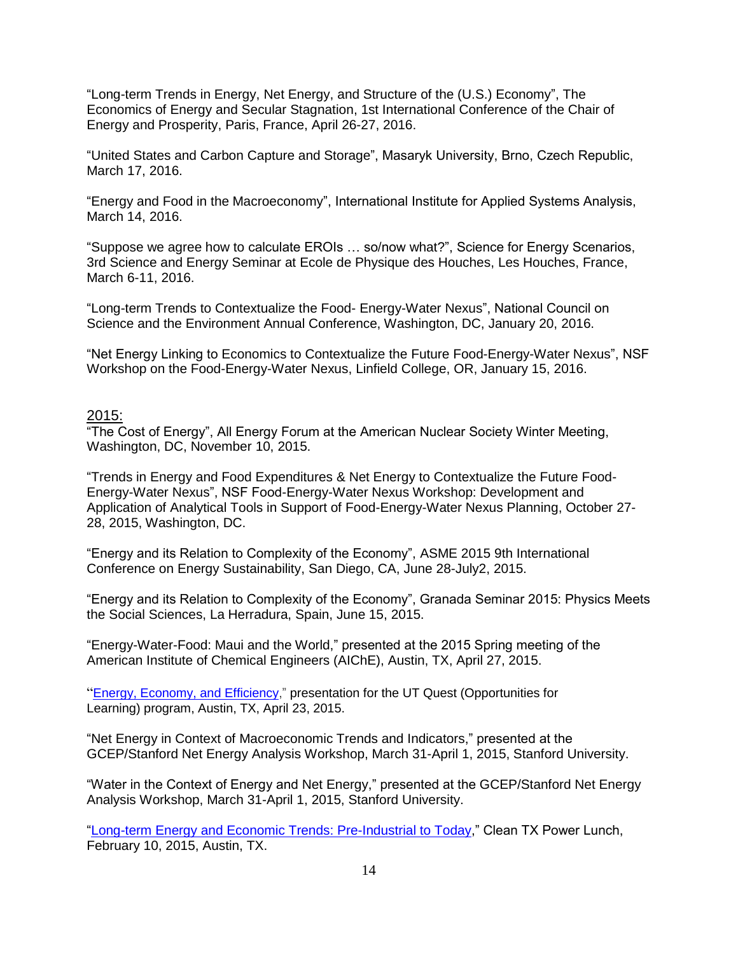"Long-term Trends in Energy, Net Energy, and Structure of the (U.S.) Economy", The Economics of Energy and Secular Stagnation, 1st International Conference of the Chair of Energy and Prosperity, Paris, France, April 26-27, 2016.

"United States and Carbon Capture and Storage", Masaryk University, Brno, Czech Republic, March 17, 2016.

"Energy and Food in the Macroeconomy", International Institute for Applied Systems Analysis, March 14, 2016.

"Suppose we agree how to calculate EROIs … so/now what?", Science for Energy Scenarios, 3rd Science and Energy Seminar at Ecole de Physique des Houches, Les Houches, France, March 6-11, 2016.

"Long-term Trends to Contextualize the Food- Energy-Water Nexus", National Council on Science and the Environment Annual Conference, Washington, DC, January 20, 2016.

"Net Energy Linking to Economics to Contextualize the Future Food-Energy-Water Nexus", NSF Workshop on the Food-Energy-Water Nexus, Linfield College, OR, January 15, 2016.

### 2015:

"The Cost of Energy", All Energy Forum at the American Nuclear Society Winter Meeting, Washington, DC, November 10, 2015.

"Trends in Energy and Food Expenditures & Net Energy to Contextualize the Future Food-Energy-Water Nexus", NSF Food-Energy-Water Nexus Workshop: Development and Application of Analytical Tools in Support of Food-Energy-Water Nexus Planning, October 27- 28, 2015, Washington, DC.

"Energy and its Relation to Complexity of the Economy", ASME 2015 9th International Conference on Energy Sustainability, San Diego, CA, June 28-July2, 2015.

"Energy and its Relation to Complexity of the Economy", Granada Seminar 2015: Physics Meets the Social Sciences, La Herradura, Spain, June 15, 2015.

"Energy-Water-Food: Maui and the World," presented at the 2015 Spring meeting of the American Institute of Chemical Engineers (AIChE), Austin, TX, April 27, 2015.

"Energy, Economy, and [Efficiency,](http://careyking.com/wp-content/uploads/2015/04/King-EnergyEconomy-for-UTQuest-2015_0423-ONLINE.pdf)" presentation for the UT Quest (Opportunities for Learning) program, Austin, TX, April 23, 2015.

"Net Energy in Context of Macroeconomic Trends and Indicators," presented at the GCEP/Stanford Net Energy Analysis Workshop, March 31-April 1, 2015, Stanford University.

"Water in the Context of Energy and Net Energy," presented at the GCEP/Stanford Net Energy Analysis Workshop, March 31-April 1, 2015, Stanford University.

["Long-term Energy and Economic Trends: Pre-Industrial to Today,](http://careyking.com/wp-content/uploads/2015/04/King_CleanTXLunch-2015_0210-ONLINE.pdf)" Clean TX Power Lunch, February 10, 2015, Austin, TX.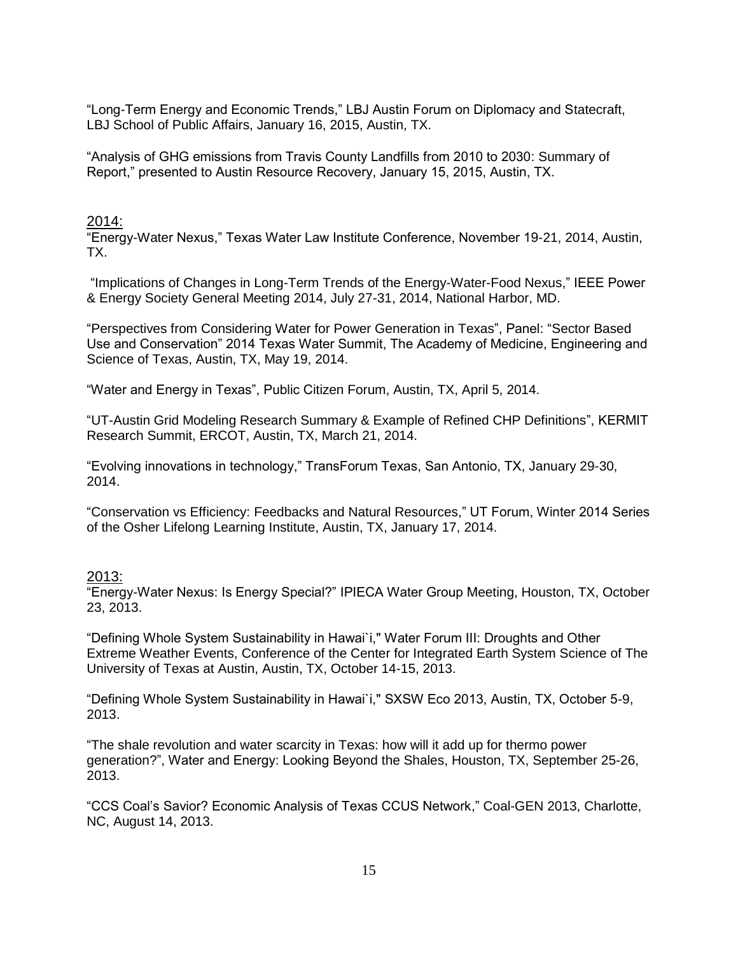"Long-Term Energy and Economic Trends," LBJ Austin Forum on Diplomacy and Statecraft, LBJ School of Public Affairs, January 16, 2015, Austin, TX.

"Analysis of GHG emissions from Travis County Landfills from 2010 to 2030: Summary of Report," presented to Austin Resource Recovery, January 15, 2015, Austin, TX.

# 2014:

"Energy-Water Nexus," Texas Water Law Institute Conference, November 19-21, 2014, Austin, TX.

"Implications of Changes in Long-Term Trends of the Energy-Water-Food Nexus," IEEE Power & Energy Society General Meeting 2014, July 27-31, 2014, National Harbor, MD.

"Perspectives from Considering Water for Power Generation in Texas", Panel: "Sector Based Use and Conservation" 2014 Texas Water Summit, The Academy of Medicine, Engineering and Science of Texas, Austin, TX, May 19, 2014.

"Water and Energy in Texas", Public Citizen Forum, Austin, TX, April 5, 2014.

"UT-Austin Grid Modeling Research Summary & Example of Refined CHP Definitions", KERMIT Research Summit, ERCOT, Austin, TX, March 21, 2014.

"Evolving innovations in technology," TransForum Texas, San Antonio, TX, January 29-30, 2014.

"Conservation vs Efficiency: Feedbacks and Natural Resources," UT Forum, Winter 2014 Series of the Osher Lifelong Learning Institute, Austin, TX, January 17, 2014.

#### 2013:

"Energy-Water Nexus: Is Energy Special?" IPIECA Water Group Meeting, Houston, TX, October 23, 2013.

"Defining Whole System Sustainability in Hawai`i," Water Forum III: Droughts and Other Extreme Weather Events, Conference of the Center for Integrated Earth System Science of The University of Texas at Austin, Austin, TX, October 14-15, 2013.

"Defining Whole System Sustainability in Hawai`i," SXSW Eco 2013, Austin, TX, October 5-9, 2013.

"The shale revolution and water scarcity in Texas: how will it add up for thermo power generation?", Water and Energy: Looking Beyond the Shales, Houston, TX, September 25-26, 2013.

"CCS Coal's Savior? Economic Analysis of Texas CCUS Network," Coal-GEN 2013, Charlotte, NC, August 14, 2013.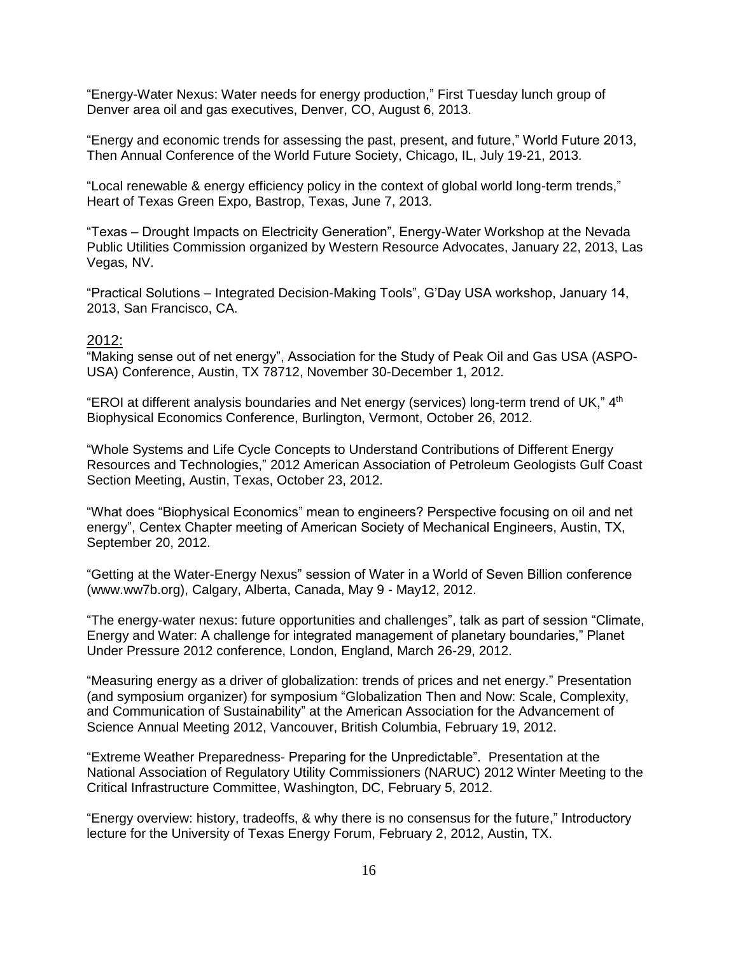"Energy-Water Nexus: Water needs for energy production," First Tuesday lunch group of Denver area oil and gas executives, Denver, CO, August 6, 2013.

"Energy and economic trends for assessing the past, present, and future," World Future 2013, Then Annual Conference of the World Future Society, Chicago, IL, July 19-21, 2013.

"Local renewable & energy efficiency policy in the context of global world long-term trends," Heart of Texas Green Expo, Bastrop, Texas, June 7, 2013.

"Texas – Drought Impacts on Electricity Generation", Energy-Water Workshop at the Nevada Public Utilities Commission organized by Western Resource Advocates, January 22, 2013, Las Vegas, NV.

"Practical Solutions – Integrated Decision-Making Tools", G'Day USA workshop, January 14, 2013, San Francisco, CA.

#### 2012:

"Making sense out of net energy", Association for the Study of Peak Oil and Gas USA (ASPO-USA) Conference, Austin, TX 78712, November 30-December 1, 2012.

"EROI at different analysis boundaries and Net energy (services) long-term trend of UK," 4<sup>th</sup> Biophysical Economics Conference, Burlington, Vermont, October 26, 2012.

"Whole Systems and Life Cycle Concepts to Understand Contributions of Different Energy Resources and Technologies," 2012 American Association of Petroleum Geologists Gulf Coast Section Meeting, Austin, Texas, October 23, 2012.

"What does "Biophysical Economics" mean to engineers? Perspective focusing on oil and net energy", Centex Chapter meeting of American Society of Mechanical Engineers, Austin, TX, September 20, 2012.

["Getting at the Water-Energy Nexus"](https://elsevier.conference-services.net/reports/template/onetextabstract.xml?xsl=template/onetextabstract.xsl&conferenceID=2808&abstractID=575902) session of Water in a World of Seven Billion conference (www.ww7b.org), Calgary, Alberta, Canada, May 9 - May12, 2012.

["The energy-water nexus: future opportunities and challenges"](https://elsevier.conference-services.net/reports/template/onetextabstract.xml?xsl=template/onetextabstract.xsl&conferenceID=2808&abstractID=575902), talk as part of session "Climate, Energy and Water: A challenge for integrated management of planetary boundaries," Planet Under Pressure 2012 conference, London, England, March 26-29, 2012.

"Measuring energy as a driver of globalization: trends of prices and net energy." Presentation (and symposium organizer) for symposium "Globalization Then and Now: Scale, Complexity, and Communication of Sustainability" at the American Association for the Advancement of Science Annual Meeting 2012, Vancouver, British Columbia, February 19, 2012.

"Extreme Weather Preparedness- Preparing for the Unpredictable". Presentation at the National Association of Regulatory Utility Commissioners (NARUC) 2012 Winter Meeting to the Critical Infrastructure Committee, Washington, DC, February 5, 2012.

"Energy overview: history, tradeoffs, & why there is no consensus for the future," Introductory lecture for the University of Texas Energy Forum, February 2, 2012, Austin, TX.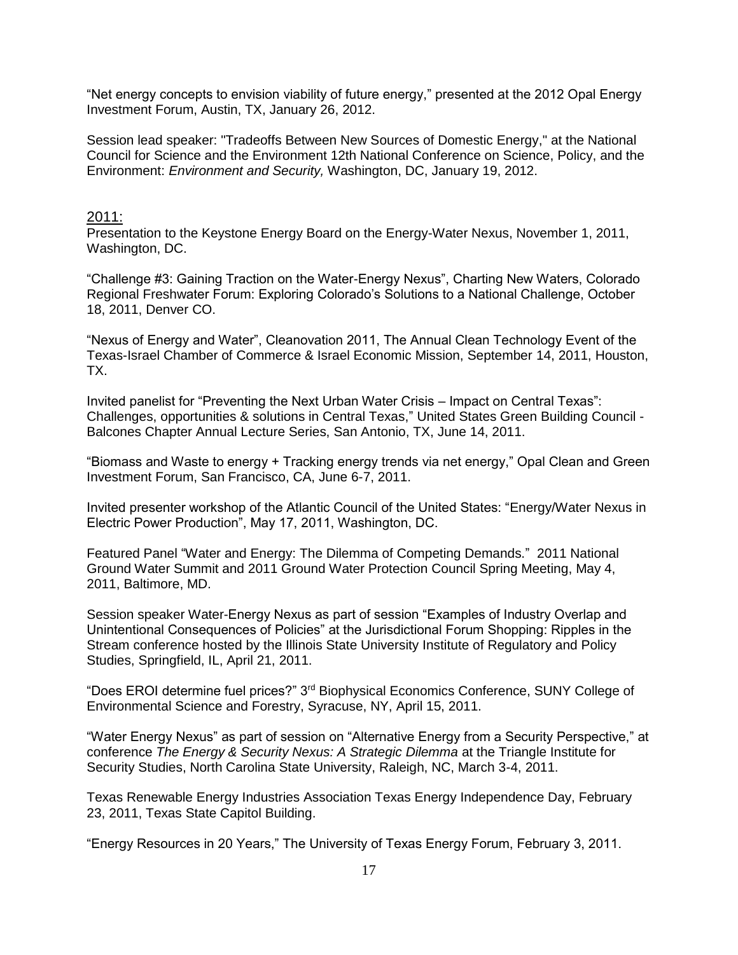"Net energy concepts to envision viability of future energy," presented at the 2012 Opal Energy Investment Forum, Austin, TX, January 26, 2012.

Session lead speaker: "Tradeoffs Between New Sources of Domestic Energy," at the National Council for Science and the Environment 12th National Conference on Science, Policy, and the Environment: *Environment and Security,* Washington, DC, January 19, 2012.

#### 2011:

Presentation to the Keystone Energy Board on the Energy-Water Nexus, November 1, 2011, Washington, DC.

"Challenge #3: Gaining Traction on the Water-Energy Nexus", Charting New Waters, Colorado Regional Freshwater Forum: Exploring Colorado's Solutions to a National Challenge, October 18, 2011, Denver CO.

"Nexus of Energy and Water", Cleanovation 2011, The Annual Clean Technology Event of the Texas-Israel Chamber of Commerce & Israel Economic Mission, September 14, 2011, Houston, TX.

Invited panelist for "Preventing the Next Urban Water Crisis – Impact on Central Texas": Challenges, opportunities & solutions in Central Texas," United States Green Building Council - Balcones Chapter Annual Lecture Series, San Antonio, TX, June 14, 2011.

"Biomass and Waste to energy + Tracking energy trends via net energy," Opal Clean and Green Investment Forum, San Francisco, CA, June 6-7, 2011.

Invited presenter workshop of the Atlantic Council of the United States: "Energy/Water Nexus in Electric Power Production", May 17, 2011, Washington, DC.

Featured Panel "Water and Energy: The Dilemma of Competing Demands." 2011 National Ground Water Summit and 2011 Ground Water Protection Council Spring Meeting, May 4, 2011, Baltimore, MD.

Session speaker Water-Energy Nexus as part of session "Examples of Industry Overlap and Unintentional Consequences of Policies" at the Jurisdictional Forum Shopping: Ripples in the Stream conference hosted by the Illinois State University Institute of Regulatory and Policy Studies, Springfield, IL, April 21, 2011.

"Does EROI determine fuel prices?" 3rd Biophysical Economics Conference, SUNY College of Environmental Science and Forestry, Syracuse, NY, April 15, 2011.

"Water Energy Nexus" as part of session on "Alternative Energy from a Security Perspective," at conference *The Energy & Security Nexus: A Strategic Dilemma* at the Triangle Institute for Security Studies, North Carolina State University, Raleigh, NC, March 3-4, 2011.

Texas Renewable Energy Industries Association Texas Energy Independence Day, February 23, 2011, Texas State Capitol Building.

"Energy Resources in 20 Years," The University of Texas Energy Forum, February 3, 2011.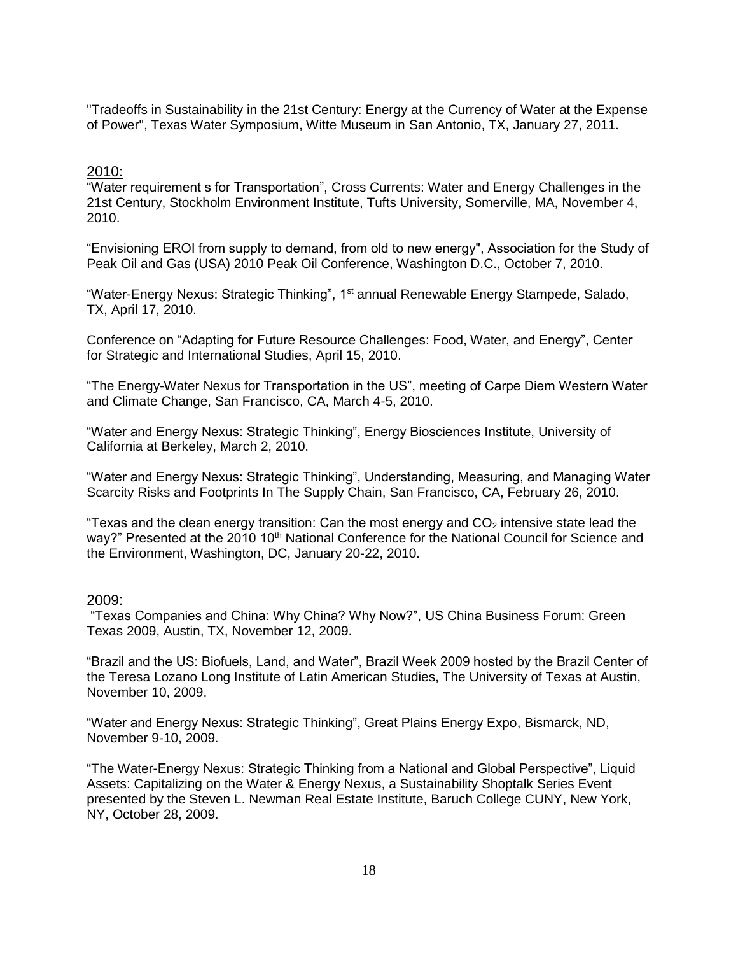"Tradeoffs in Sustainability in the 21st Century: Energy at the Currency of Water at the Expense of Power", Texas Water Symposium, Witte Museum in San Antonio, TX, January 27, 2011.

#### 2010:

"Water requirement s for Transportation", Cross Currents: Water and Energy Challenges in the 21st Century, Stockholm Environment Institute, Tufts University, Somerville, MA, November 4, 2010.

"Envisioning EROI from supply to demand, from old to new energy", Association for the Study of Peak Oil and Gas (USA) 2010 Peak Oil Conference, Washington D.C., October 7, 2010.

"Water-Energy Nexus: Strategic Thinking", 1<sup>st</sup> annual Renewable Energy Stampede, Salado, TX, April 17, 2010.

Conference on "Adapting for Future Resource Challenges: Food, Water, and Energy", Center for Strategic and International Studies, April 15, 2010.

"The Energy-Water Nexus for Transportation in the US", meeting of Carpe Diem Western Water and Climate Change, San Francisco, CA, March 4-5, 2010.

"Water and Energy Nexus: Strategic Thinking", Energy Biosciences Institute, University of California at Berkeley, March 2, 2010.

"Water and Energy Nexus: Strategic Thinking", Understanding, Measuring, and Managing Water Scarcity Risks and Footprints In The Supply Chain, San Francisco, CA, February 26, 2010.

"Texas and the clean energy transition: Can the most energy and  $CO<sub>2</sub>$  intensive state lead the way?" Presented at the 2010 10<sup>th</sup> National Conference for the National Council for Science and the Environment, Washington, DC, January 20-22, 2010.

### 2009:

"Texas Companies and China: Why China? Why Now?", US China Business Forum: Green Texas 2009, Austin, TX, November 12, 2009.

"Brazil and the US: Biofuels, Land, and Water", Brazil Week 2009 hosted by the Brazil Center of the Teresa Lozano Long Institute of Latin American Studies, The University of Texas at Austin, November 10, 2009.

"Water and Energy Nexus: Strategic Thinking", Great Plains Energy Expo, Bismarck, ND, November 9-10, 2009.

"The Water-Energy Nexus: Strategic Thinking from a National and Global Perspective", Liquid Assets: Capitalizing on the Water & Energy Nexus, a Sustainability Shoptalk Series Event presented by the Steven L. Newman Real Estate Institute, Baruch College CUNY, New York, NY, October 28, 2009.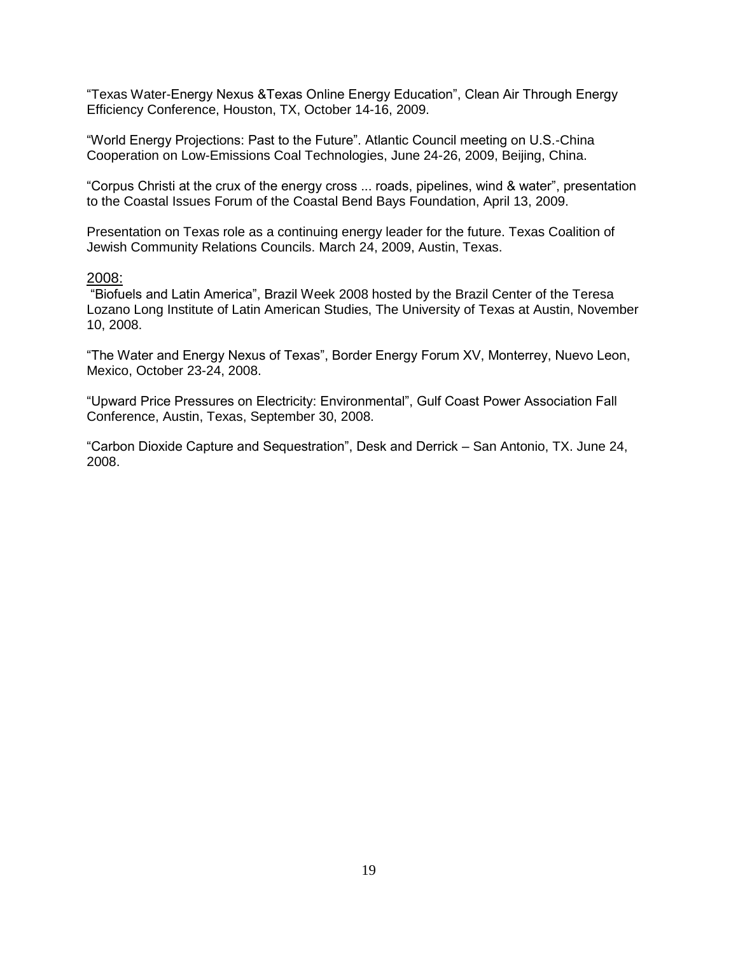"Texas Water-Energy Nexus &Texas Online Energy Education", Clean Air Through Energy Efficiency Conference, Houston, TX, October 14-16, 2009.

"World Energy Projections: Past to the Future". Atlantic Council meeting on U.S.-China Cooperation on Low-Emissions Coal Technologies, June 24-26, 2009, Beijing, China.

"Corpus Christi at the crux of the energy cross ... roads, pipelines, wind & water", presentation to the Coastal Issues Forum of the Coastal Bend Bays Foundation, April 13, 2009.

Presentation on Texas role as a continuing energy leader for the future. Texas Coalition of Jewish Community Relations Councils. March 24, 2009, Austin, Texas.

#### 2008:

"Biofuels and Latin America", Brazil Week 2008 hosted by the Brazil Center of the Teresa Lozano Long Institute of Latin American Studies, The University of Texas at Austin, November 10, 2008.

"The Water and Energy Nexus of Texas", Border Energy Forum XV, Monterrey, Nuevo Leon, Mexico, October 23-24, 2008.

"Upward Price Pressures on Electricity: Environmental", Gulf Coast Power Association Fall Conference, Austin, Texas, September 30, 2008.

"Carbon Dioxide Capture and Sequestration", Desk and Derrick – San Antonio, TX. June 24, 2008.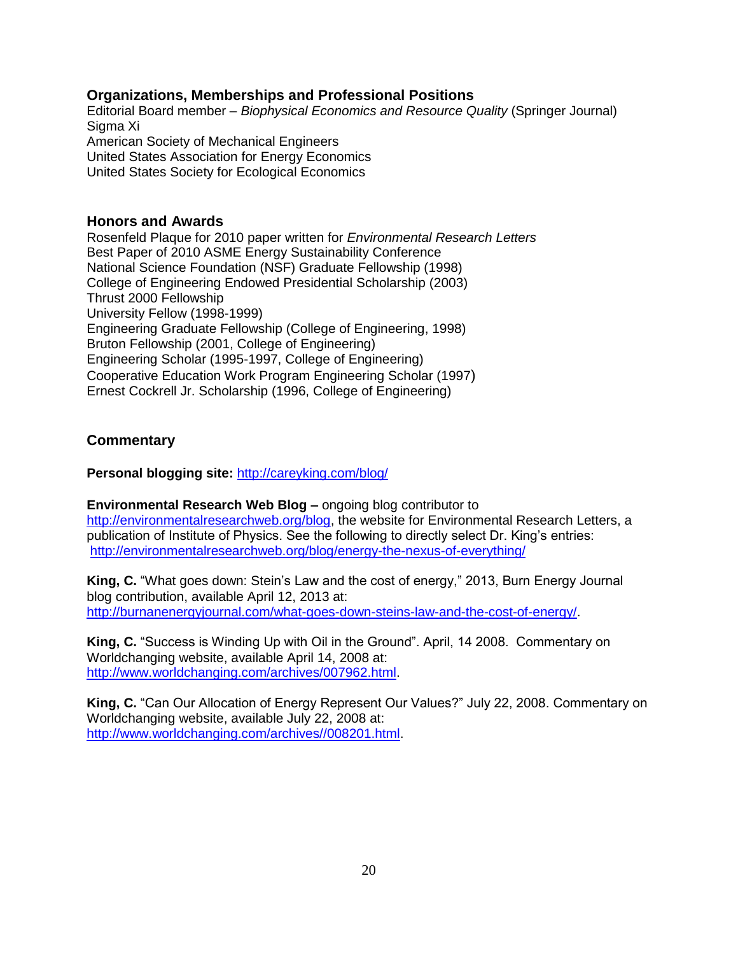### **Organizations, Memberships and Professional Positions**

Editorial Board member – *Biophysical Economics and Resource Quality* (Springer Journal) Sigma Xi American Society of Mechanical Engineers United States Association for Energy Economics United States Society for Ecological Economics

### **Honors and Awards**

Rosenfeld Plaque for 2010 paper written for *Environmental Research Letters* Best Paper of 2010 ASME Energy Sustainability Conference National Science Foundation (NSF) Graduate Fellowship (1998) College of Engineering Endowed Presidential Scholarship (2003) Thrust 2000 Fellowship University Fellow (1998-1999) Engineering Graduate Fellowship (College of Engineering, 1998) Bruton Fellowship (2001, College of Engineering) Engineering Scholar (1995-1997, College of Engineering) Cooperative Education Work Program Engineering Scholar (1997) Ernest Cockrell Jr. Scholarship (1996, College of Engineering)

# **Commentary**

**Personal blogging site:** <http://careyking.com/blog/>

**Environmental Research Web Blog –** ongoing blog contributor to [http://environmentalresearchweb.org/blog,](http://environmentalresearchweb.org/blog) the website for Environmental Research Letters, a publication of Institute of Physics. See the following to directly select Dr. King's entries: [http://environmentalresearchweb.org/blog/energy-the-nexus-of-everything/](http://www.iop.org/mt4/mt-search.cgi?blog_id=5&tag=Carey%20King&limit=20)

**King, C.** "What goes down: Stein's Law and the cost of energy," 2013, Burn Energy Journal blog contribution, available April 12, 2013 at: [http://burnanenergyjournal.com/what-goes-down-steins-law-and-the-cost-of-energy/.](http://burnanenergyjournal.com/what-goes-down-steins-law-and-the-cost-of-energy/)

**King, C.** "Success is Winding Up with Oil in the Ground". April, 14 2008. Commentary on Worldchanging website, available April 14, 2008 at: [http://www.worldchanging.com/archives/007962.html.](http://www.worldchanging.com/archives/007962.html)

**King, C.** "Can Our Allocation of Energy Represent Our Values?" July 22, 2008. Commentary on Worldchanging website, available July 22, 2008 at: [http://www.worldchanging.com/archives//008201.html.](http://www.worldchanging.com/archives/008201.html)